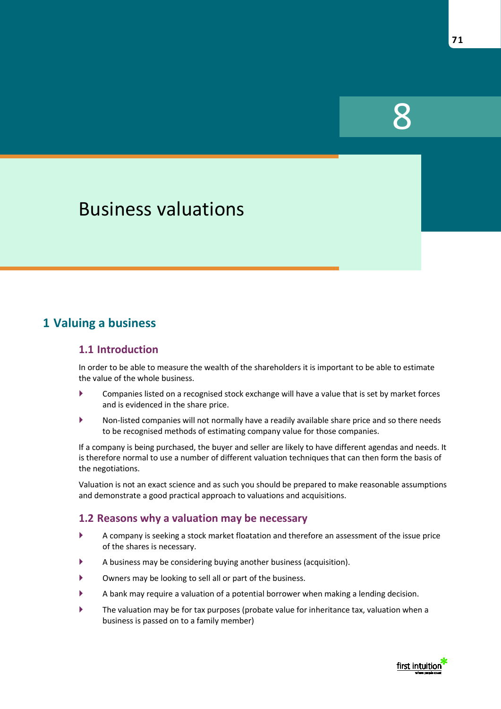# Business valuations

## **1 Valuing a business**

#### **1.1 Introduction**

In order to be able to measure the wealth of the shareholders it is important to be able to estimate the value of the whole business.

- Companies listed on a recognised stock exchange will have a value that is set by market forces and is evidenced in the share price.
- Non-listed companies will not normally have a readily available share price and so there needs to be recognised methods of estimating company value for those companies.

If a company is being purchased, the buyer and seller are likely to have different agendas and needs. It is therefore normal to use a number of different valuation techniques that can then form the basis of the negotiations.

Valuation is not an exact science and as such you should be prepared to make reasonable assumptions and demonstrate a good practical approach to valuations and acquisitions.

#### **1.2 Reasons why a valuation may be necessary**

- A company is seeking a stock market floatation and therefore an assessment of the issue price of the shares is necessary.
- A business may be considering buying another business (acquisition).
- Owners may be looking to sell all or part of the business.
- A bank may require a valuation of a potential borrower when making a lending decision.
- The valuation may be for tax purposes (probate value for inheritance tax, valuation when a business is passed on to a family member)